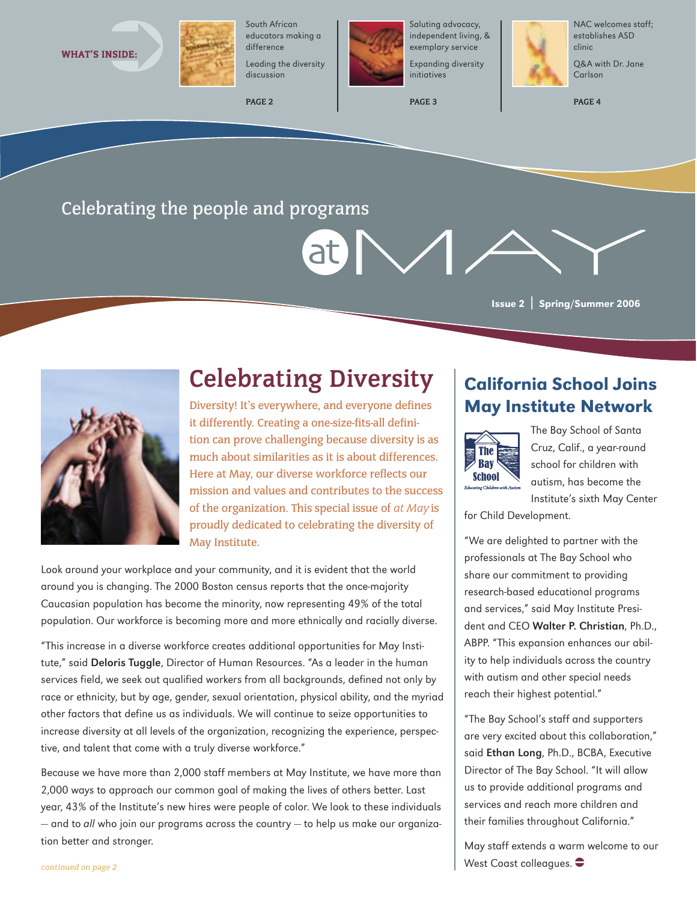



South African educators making a difference

Leading the diversity discussion

**PAGE 2**



Saluting advocacy, independent living, & exemplary service

Expanding diversity initiatives

**PAGE 3**



NAC welcomes staff; establishes ASD clinic

Q&A with Dr. Jane Carlson

**PAGE 4**

### Celebrating the people and programs

Issue 2 | Spring/Summer 2006



## **Celebrating Diversity**

Diversity! It's everywhere, and everyone defines it differently. Creating a one-size-fits-all definition can prove challenging because diversity is as much about similarities as it is about differences. Here at May, our diverse workforce reflects our mission and values and contributes to the success of the organization. This special issue of *at May* is proudly dedicated to celebrating the diversity of May Institute.

Look around your workplace and your community, and it is evident that the world around you is changing. The 2000 Boston census reports that the once-majority Caucasian population has become the minority, now representing 49% of the total population. Our workforce is becoming more and more ethnically and racially diverse.

"This increase in a diverse workforce creates additional opportunities for May Institute," said Deloris Tuggle, Director of Human Resources. "As a leader in the human services field, we seek out qualified workers from all backgrounds, defined not only by race or ethnicity, but by age, gender, sexual orientation, physical ability, and the myriad other factors that define us as individuals. We will continue to seize opportunities to increase diversity at all levels of the organization, recognizing the experience, perspective, and talent that come with a truly diverse workforce."

Because we have more than 2,000 staff members at May Institute, we have more than 2,000 ways to approach our common goal of making the lives of others better. Last year, 43% of the Institute's new hires were people of color. We look to these individuals — and to all who join our programs across the country — to help us make our organization better and stronger.

## California School Joins May Institute Network



The Bay School of Santa Cruz, Calif., a year-round school for children with autism, has become the

Institute's sixth May Center

for Child Development.

"We are delighted to partner with the professionals at The Bay School who share our commitment to providing research-based educational programs and services," said May Institute President and CEO Walter P. Christian, Ph.D., ABPP. "This expansion enhances our ability to help individuals across the country with autism and other special needs reach their highest potential."

"The Bay School's staff and supporters are very excited about this collaboration," said Ethan Long, Ph.D., BCBA, Executive Director of The Bay School. "It will allow us to provide additional programs and services and reach more children and their families throughout California."

May staff extends a warm welcome to our West Coast colleagues.  $\bullet$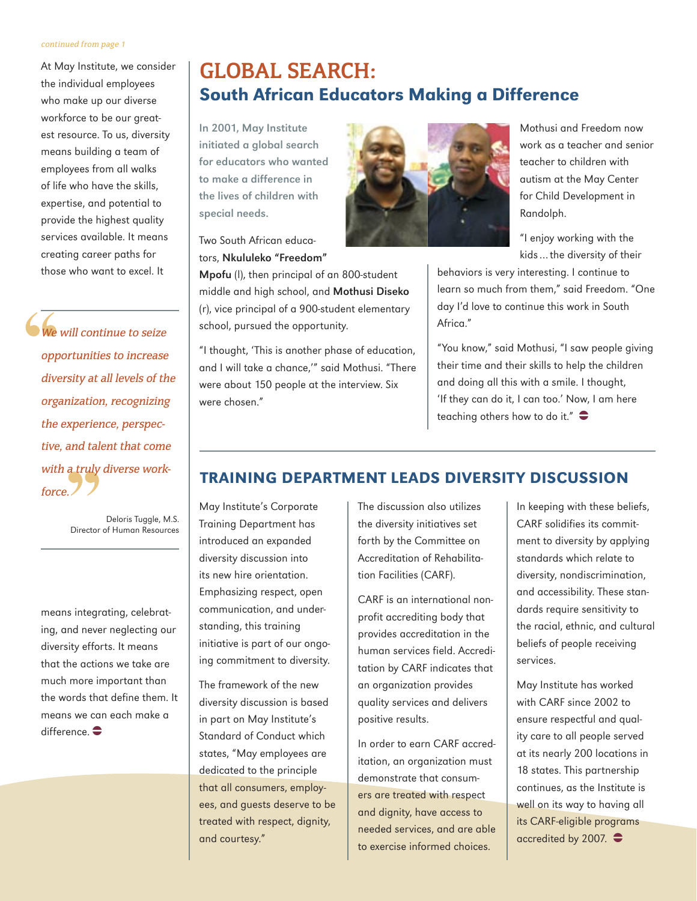#### continued from page 1

At May Institute, we consider the individual employees who make up our diverse workforce to be our greatest resource. To us, diversity means building a team of employees from all walks of life who have the skills, expertise, and potential to provide the highest quality services available. It means creating career paths for those who want to excel. It

We will continue to seize opportunities to increase diversity at all levels of the organization, recognizing the experience, perspective, and talent that come with a truly diverse workforce.

> Deloris Tuggle, M.S. Director of Human Resources

means integrating, celebrating, and never neglecting our diversity efforts. It means that the actions we take are much more important than the words that define them. It means we can each make a  $d$ ifference.  $\bullet$ 

## **GLOBAL SEARCH:** South African Educators Making a Difference

In 2001, May Institute initiated a global search for educators who wanted to make a difference in the lives of children with special needs.

Two South African educators, Nkululeko "Freedom"

Mpofu (l), then principal of an 800-student middle and high school, and Mothusi Diseko (r), vice principal of a 900-student elementary school, pursued the opportunity.

"I thought, 'This is another phase of education, and I will take a chance,'" said Mothusi. "There were about 150 people at the interview. Six were chosen."



Mothusi and Freedom now work as a teacher and senior teacher to children with autism at the May Center for Child Development in Randolph.

"I enjoy working with the kids … the diversity of their

behaviors is very interesting. I continue to learn so much from them," said Freedom. "One day I'd love to continue this work in South Africa<sup>"</sup>

"You know," said Mothusi, "I saw people giving their time and their skills to help the children and doing all this with a smile. I thought, 'If they can do it, I can too.' Now, I am here teaching others how to do it."

### TRAINING DEPARTMENT LEADS DIVERSITY DISCUSSION

May Institute's Corporate Training Department has introduced an expanded diversity discussion into its new hire orientation. Emphasizing respect, open communication, and understanding, this training initiative is part of our ongoing commitment to diversity.

The framework of the new diversity discussion is based in part on May Institute's Standard of Conduct which states, "May employees are dedicated to the principle that all consumers, employees, and guests deserve to be treated with respect, dignity, and courtesy."

The discussion also utilizes the diversity initiatives set forth by the Committee on Accreditation of Rehabilitation Facilities (CARF).

CARF is an international nonprofit accrediting body that provides accreditation in the human services field. Accreditation by CARF indicates that an organization provides quality services and delivers positive results.

In order to earn CARF accreditation, an organization must demonstrate that consumers are treated with respect and dignity, have access to needed services, and are able to exercise informed choices.

In keeping with these beliefs, CARF solidifies its commitment to diversity by applying standards which relate to diversity, nondiscrimination, and accessibility. These standards require sensitivity to the racial, ethnic, and cultural beliefs of people receiving services.

May Institute has worked with CARF since 2002 to ensure respectful and quality care to all people served at its nearly 200 locations in 18 states. This partnership continues, as the Institute is well on its way to having all its CARF-eligible programs accredited by 2007.  $\bullet$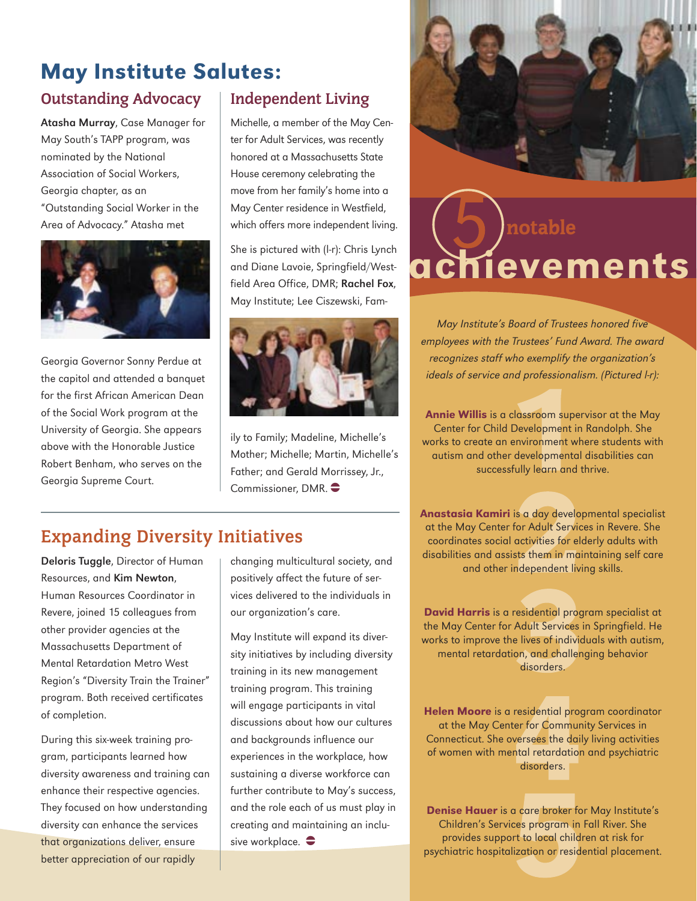## May Institute Salutes:

### **Outstanding Advocacy**

Atasha Murray, Case Manager for May South's TAPP program, was nominated by the National Association of Social Workers, Georgia chapter, as an "Outstanding Social Worker in the Area of Advocacy." Atasha met



Georgia Governor Sonny Perdue at the capitol and attended a banquet for the first African American Dean of the Social Work program at the University of Georgia. She appears above with the Honorable Justice Robert Benham, who serves on the Georgia Supreme Court.

### **Independent Living**

Michelle, a member of the May Center for Adult Services, was recently honored at a Massachusetts State House ceremony celebrating the move from her family's home into a May Center residence in Westfield, which offers more independent living.

She is pictured with (l-r): Chris Lynch and Diane Lavoie, Springfield/Westfield Area Office, DMR; Rachel Fox, May Institute; Lee Ciszewski, Fam-



ily to Family; Madeline, Michelle's Mother; Michelle; Martin, Michelle's Father; and Gerald Morrissey, Jr., Commissioner, DMR.  $\bullet$ 



# chievements notable

May Institute's Board of Trustees honored five employees with the Trustees' Fund Award. The award recognizes staff who exemplify the organization's ideals of service and professionalism. (Pictured I-r):

Annie Willis is a classroom supervisor at the May Center for Child Development in Randolph. She works to create an environment where students with autism and other developmental disabilities can successfully learn and thrive.

## **Expanding Diversity Initiatives**

Deloris Tuggle, Director of Human Resources, and Kim Newton, Human Resources Coordinator in Revere, joined 15 colleagues from other provider agencies at the Massachusetts Department of Mental Retardation Metro West Region's "Diversity Train the Trainer" program. Both received certificates of completion.

During this six-week training program, participants learned how diversity awareness and training can enhance their respective agencies. They focused on how understanding diversity can enhance the services that organizations deliver, ensure better appreciation of our rapidly

changing multicultural society, and positively affect the future of services delivered to the individuals in our organization's care.

May Institute will expand its diversity initiatives by including diversity training in its new management training program. This training will engage participants in vital discussions about how our cultures and backgrounds influence our experiences in the workplace, how sustaining a diverse workforce can further contribute to May's success, and the role each of us must play in creating and maintaining an inclusive workplace.  $\bullet$ 

Anastasia Kamiri is a day developmental specialist at the May Center for Adult Services in Revere. She coordinates social activities for elderly adults with disabilities and assists them in maintaining self care and other independent living skills.

David Harris is a residential program specialist at the May Center for Adult Services in Springfield. He works to improve the lives of individuals with autism, mental retardation, and challenging behavior disorders.

Helen Moore is a residential program coordinator at the May Center for Community Services in Connecticut. She oversees the daily living activities of women with mental retardation and psychiatric disorders.

Denise Hauer is a care broker for May Institute's Children's Services program in Fall River. She provides support to local children at risk for psychiatric hospitalization or residential placement.